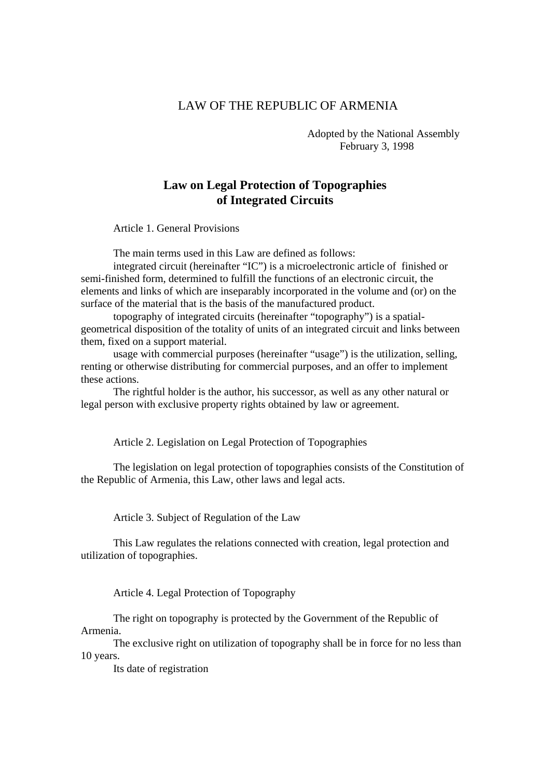## LAW OF THE REPUBLIC OF ARMENIA

 Adopted by the National Assembly February 3, 1998

## **Law on Legal Protection of Topographies of Integrated Circuits**

Article 1. General Provisions

The main terms used in this Law are defined as follows:

 integrated circuit (hereinafter "IC") is a microelectronic article of finished or semi-finished form, determined to fulfill the functions of an electronic circuit, the elements and links of which are inseparably incorporated in the volume and (or) on the surface of the material that is the basis of the manufactured product.

 topography of integrated circuits (hereinafter "topography") is a spatialgeometrical disposition of the totality of units of an integrated circuit and links between them, fixed on a support material.

 usage with commercial purposes (hereinafter "usage") is the utilization, selling, renting or otherwise distributing for commercial purposes, and an offer to implement these actions.

 The rightful holder is the author, his successor, as well as any other natural or legal person with exclusive property rights obtained by law or agreement.

Article 2. Legislation on Legal Protection of Topographies

 The legislation on legal protection of topographies consists of the Constitution of the Republic of Armenia, this Law, other laws and legal acts.

Article 3. Subject of Regulation of the Law

 This Law regulates the relations connected with creation, legal protection and utilization of topographies.

Article 4. Legal Protection of Topography

 The right on topography is protected by the Government of the Republic of Armenia.

 The exclusive right on utilization of topography shall be in force for no less than 10 years.

Its date of registration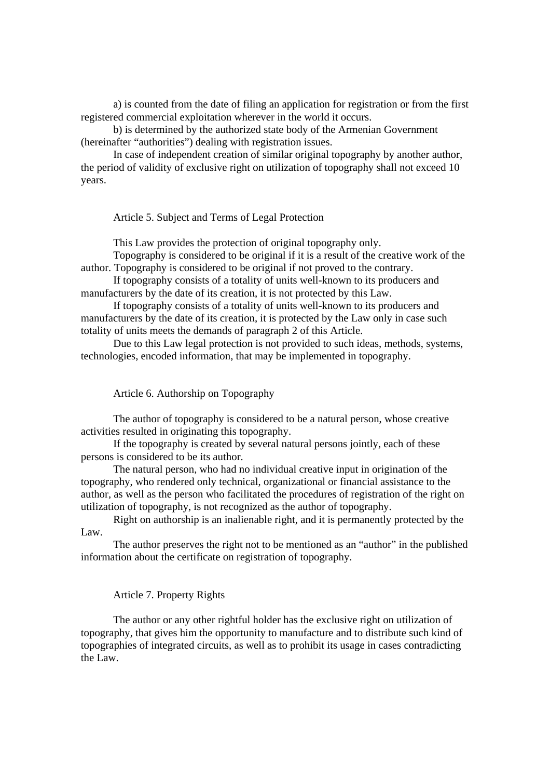a) is counted from the date of filing an application for registration or from the first registered commercial exploitation wherever in the world it occurs.

 b) is determined by the authorized state body of the Armenian Government (hereinafter "authorities") dealing with registration issues.

 In case of independent creation of similar original topography by another author, the period of validity of exclusive right on utilization of topography shall not exceed 10 years.

Article 5. Subject and Terms of Legal Protection

This Law provides the protection of original topography only.

 Topography is considered to be original if it is a result of the creative work of the author. Topography is considered to be original if not proved to the contrary.

 If topography consists of a totality of units well-known to its producers and manufacturers by the date of its creation, it is not protected by this Law.

 If topography consists of a totality of units well-known to its producers and manufacturers by the date of its creation, it is protected by the Law only in case such totality of units meets the demands of paragraph 2 of this Article.

 Due to this Law legal protection is not provided to such ideas, methods, systems, technologies, encoded information, that may be implemented in topography.

Article 6. Authorship on Topography

 The author of topography is considered to be a natural person, whose creative activities resulted in originating this topography.

 If the topography is created by several natural persons jointly, each of these persons is considered to be its author.

 The natural person, who had no individual creative input in origination of the topography, who rendered only technical, organizational or financial assistance to the author, as well as the person who facilitated the procedures of registration of the right on utilization of topography, is not recognized as the author of topography.

 Right on authorship is an inalienable right, and it is permanently protected by the Law.

 The author preserves the right not to be mentioned as an "author" in the published information about the certificate on registration of topography.

## Article 7. Property Rights

 The author or any other rightful holder has the exclusive right on utilization of topography, that gives him the opportunity to manufacture and to distribute such kind of topographies of integrated circuits, as well as to prohibit its usage in cases contradicting the Law.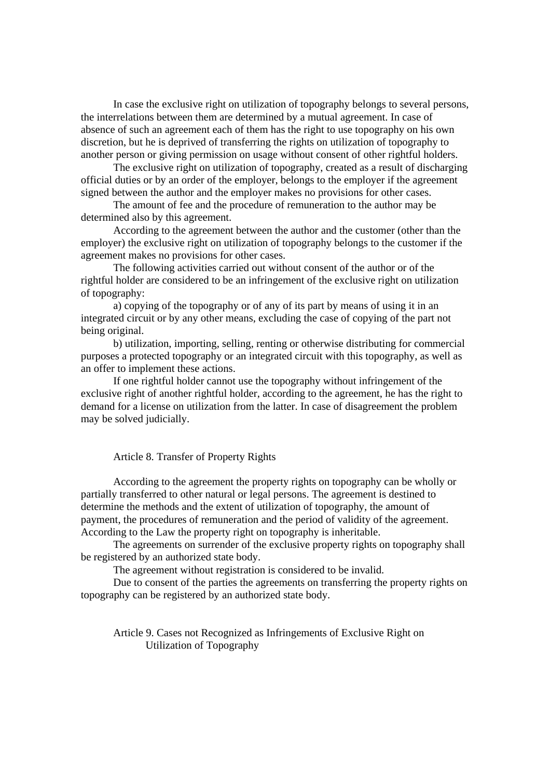In case the exclusive right on utilization of topography belongs to several persons, the interrelations between them are determined by a mutual agreement. In case of absence of such an agreement each of them has the right to use topography on his own discretion, but he is deprived of transferring the rights on utilization of topography to another person or giving permission on usage without consent of other rightful holders.

 The exclusive right on utilization of topography, created as a result of discharging official duties or by an order of the employer, belongs to the employer if the agreement signed between the author and the employer makes no provisions for other cases.

 The amount of fee and the procedure of remuneration to the author may be determined also by this agreement.

 According to the agreement between the author and the customer (other than the employer) the exclusive right on utilization of topography belongs to the customer if the agreement makes no provisions for other cases.

 The following activities carried out without consent of the author or of the rightful holder are considered to be an infringement of the exclusive right on utilization of topography:

 a) copying of the topography or of any of its part by means of using it in an integrated circuit or by any other means, excluding the case of copying of the part not being original.

 b) utilization, importing, selling, renting or otherwise distributing for commercial purposes a protected topography or an integrated circuit with this topography, as well as an offer to implement these actions.

 If one rightful holder cannot use the topography without infringement of the exclusive right of another rightful holder, according to the agreement, he has the right to demand for a license on utilization from the latter. In case of disagreement the problem may be solved judicially.

Article 8. Transfer of Property Rights

 According to the agreement the property rights on topography can be wholly or partially transferred to other natural or legal persons. The agreement is destined to determine the methods and the extent of utilization of topography, the amount of payment, the procedures of remuneration and the period of validity of the agreement. According to the Law the property right on topography is inheritable.

 The agreements on surrender of the exclusive property rights on topography shall be registered by an authorized state body.

The agreement without registration is considered to be invalid.

 Due to consent of the parties the agreements on transferring the property rights on topography can be registered by an authorized state body.

 Article 9. Cases not Recognized as Infringements of Exclusive Right on Utilization of Topography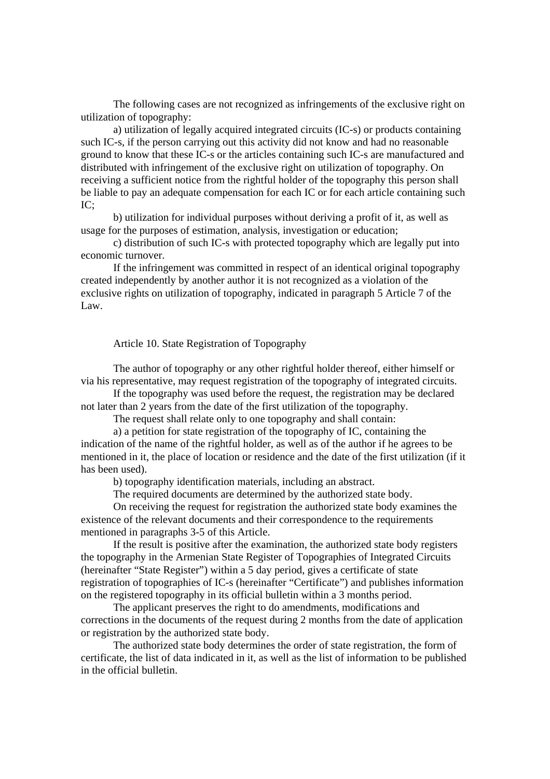The following cases are not recognized as infringements of the exclusive right on utilization of topography:

 a) utilization of legally acquired integrated circuits (IC-s) or products containing such IC-s, if the person carrying out this activity did not know and had no reasonable ground to know that these IC-s or the articles containing such IC-s are manufactured and distributed with infringement of the exclusive right on utilization of topography. On receiving a sufficient notice from the rightful holder of the topography this person shall be liable to pay an adequate compensation for each IC or for each article containing such IC;

 b) utilization for individual purposes without deriving a profit of it, as well as usage for the purposes of estimation, analysis, investigation or education;

 c) distribution of such IC-s with protected topography which are legally put into economic turnover.

 If the infringement was committed in respect of an identical original topography created independently by another author it is not recognized as a violation of the exclusive rights on utilization of topography, indicated in paragraph 5 Article 7 of the Law.

## Article 10. State Registration of Topography

 The author of topography or any other rightful holder thereof, either himself or via his representative, may request registration of the topography of integrated circuits.

 If the topography was used before the request, the registration may be declared not later than 2 years from the date of the first utilization of the topography.

The request shall relate only to one topography and shall contain:

 a) a petition for state registration of the topography of IC, containing the indication of the name of the rightful holder, as well as of the author if he agrees to be mentioned in it, the place of location or residence and the date of the first utilization (if it has been used).

b) topography identification materials, including an abstract.

The required documents are determined by the authorized state body.

 On receiving the request for registration the authorized state body examines the existence of the relevant documents and their correspondence to the requirements mentioned in paragraphs 3-5 of this Article.

 If the result is positive after the examination, the authorized state body registers the topography in the Armenian State Register of Topographies of Integrated Circuits (hereinafter "State Register") within a 5 day period, gives a certificate of state registration of topographies of IC-s (hereinafter "Certificate") and publishes information on the registered topography in its official bulletin within a 3 months period.

 The applicant preserves the right to do amendments, modifications and corrections in the documents of the request during 2 months from the date of application or registration by the authorized state body.

 The authorized state body determines the order of state registration, the form of certificate, the list of data indicated in it, as well as the list of information to be published in the official bulletin.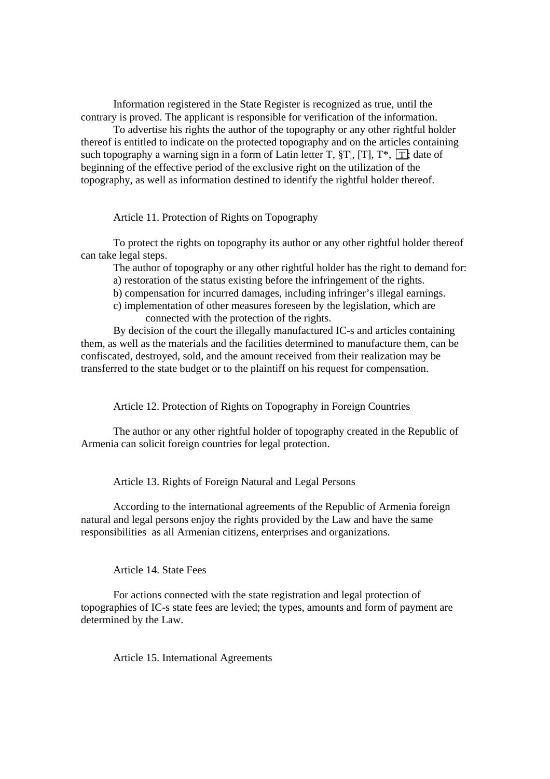Information registered in the State Register is recognized as true, until the contrary is proved. The applicant is responsible for verification of the information.

 To advertise his rights the author of the topography or any other rightful holder thereof is entitled to indicate on the protected topography and on the articles containing such topography a warning sign in a form of Latin letter T,  $T$ ,  $T'$ ,  $T'$ ,  $T'$ ,  $T'$ , date of beginning of the effective period of the exclusive right on the utilization of the topography, as well as information destined to identify the rightful holder thereof.

Article 11. Protection of Rights on Topography

 To protect the rights on topography its author or any other rightful holder thereof can take legal steps.

The author of topography or any other rightful holder has the right to demand for:

a) restoration of the status existing before the infringement of the rights.

b) compensation for incurred damages, including infringer's illegal earnings.

 c) implementation of other measures foreseen by the legislation, which are connected with the protection of the rights.

 By decision of the court the illegally manufactured IC-s and articles containing them, as well as the materials and the facilities determined to manufacture them, can be confiscated, destroyed, sold, and the amount received from their realization may be transferred to the state budget or to the plaintiff on his request for compensation.

Article 12. Protection of Rights on Topography in Foreign Countries

 The author or any other rightful holder of topography created in the Republic of Armenia can solicit foreign countries for legal protection.

Article 13. Rights of Foreign Natural and Legal Persons

 According to the international agreements of the Republic of Armenia foreign natural and legal persons enjoy the rights provided by the Law and have the same responsibilities as all Armenian citizens, enterprises and organizations.

Article 14. State Fees

 For actions connected with the state registration and legal protection of topographies of IC-s state fees are levied; the types, amounts and form of payment are determined by the Law.

Article 15. International Agreements